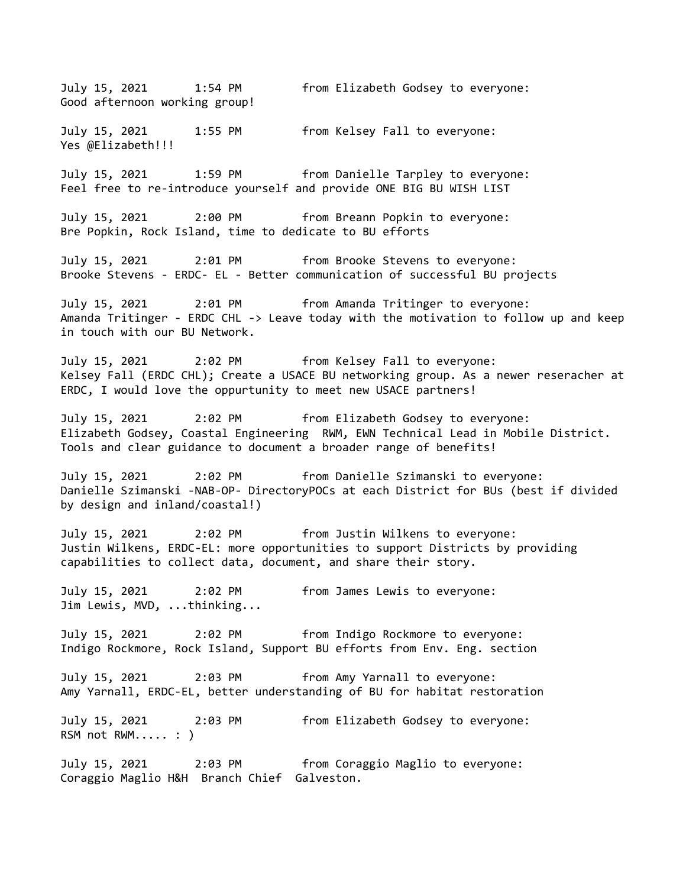July 15, 2021 1:54 PM from Elizabeth Godsey to everyone: Good afternoon working group! July 15, 2021 1:55 PM from Kelsey Fall to everyone: Yes @Elizabeth!!! July 15, 2021 1:59 PM from Danielle Tarpley to everyone: Feel free to re-introduce yourself and provide ONE BIG BU WISH LIST July 15, 2021 2:00 PM from Breann Popkin to everyone: Bre Popkin, Rock Island, time to dedicate to BU efforts July 15, 2021 2:01 PM from Brooke Stevens to everyone: Brooke Stevens - ERDC- EL - Better communication of successful BU projects July 15, 2021 2:01 PM from Amanda Tritinger to everyone: Amanda Tritinger - ERDC CHL -> Leave today with the motivation to follow up and keep in touch with our BU Network. July 15, 2021 2:02 PM from Kelsey Fall to everyone: Kelsey Fall (ERDC CHL); Create a USACE BU networking group. As a newer reseracher at ERDC, I would love the oppurtunity to meet new USACE partners! July 15, 2021 2:02 PM from Elizabeth Godsey to everyone: Elizabeth Godsey, Coastal Engineering RWM, EWN Technical Lead in Mobile District. Tools and clear guidance to document a broader range of benefits! July 15, 2021 2:02 PM from Danielle Szimanski to everyone: Danielle Szimanski -NAB-OP- DirectoryPOCs at each District for BUs (best if divided by design and inland/coastal!) July 15, 2021 2:02 PM from Justin Wilkens to everyone: Justin Wilkens, ERDC-EL: more opportunities to support Districts by providing capabilities to collect data, document, and share their story. July 15, 2021 2:02 PM from James Lewis to everyone: Jim Lewis, MVD, ...thinking... July 15, 2021 2:02 PM from Indigo Rockmore to everyone: Indigo Rockmore, Rock Island, Support BU efforts from Env. Eng. section July 15, 2021 2:03 PM from Amy Yarnall to everyone: Amy Yarnall, ERDC-EL, better understanding of BU for habitat restoration July 15, 2021 2:03 PM from Elizabeth Godsey to everyone: RSM not RWM..... : ) July 15, 2021 2:03 PM from Coraggio Maglio to everyone: Coraggio Maglio H&H Branch Chief Galveston.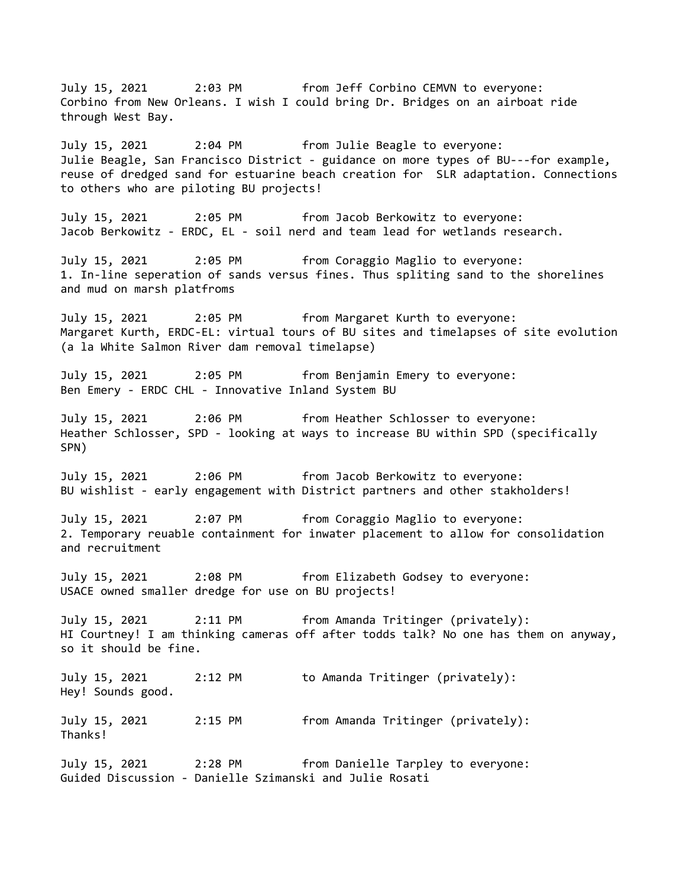July 15, 2021 2:03 PM from Jeff Corbino CEMVN to everyone: Corbino from New Orleans. I wish I could bring Dr. Bridges on an airboat ride through West Bay. July 15, 2021 2:04 PM from Julie Beagle to everyone: Julie Beagle, San Francisco District - guidance on more types of BU---for example, reuse of dredged sand for estuarine beach creation for SLR adaptation. Connections to others who are piloting BU projects! July 15, 2021 2:05 PM from Jacob Berkowitz to everyone: Jacob Berkowitz - ERDC, EL - soil nerd and team lead for wetlands research. July 15, 2021 2:05 PM from Coraggio Maglio to everyone: 1. In-line seperation of sands versus fines. Thus spliting sand to the shorelines and mud on marsh platfroms July 15, 2021 2:05 PM from Margaret Kurth to everyone: Margaret Kurth, ERDC-EL: virtual tours of BU sites and timelapses of site evolution (a la White Salmon River dam removal timelapse) July 15, 2021 2:05 PM from Benjamin Emery to everyone: Ben Emery - ERDC CHL - Innovative Inland System BU July 15, 2021 2:06 PM from Heather Schlosser to everyone: Heather Schlosser, SPD - looking at ways to increase BU within SPD (specifically SPN) July 15, 2021 2:06 PM from Jacob Berkowitz to everyone: BU wishlist - early engagement with District partners and other stakholders! July 15, 2021 2:07 PM from Coraggio Maglio to everyone: 2. Temporary reuable containment for inwater placement to allow for consolidation and recruitment July 15, 2021 2:08 PM from Elizabeth Godsey to everyone: USACE owned smaller dredge for use on BU projects! July 15, 2021 2:11 PM from Amanda Tritinger (privately): HI Courtney! I am thinking cameras off after todds talk? No one has them on anyway, so it should be fine. July 15, 2021 2:12 PM to Amanda Tritinger (privately): Hey! Sounds good. July 15, 2021 2:15 PM from Amanda Tritinger (privately): Thanks! July 15, 2021 2:28 PM from Danielle Tarpley to everyone: Guided Discussion - Danielle Szimanski and Julie Rosati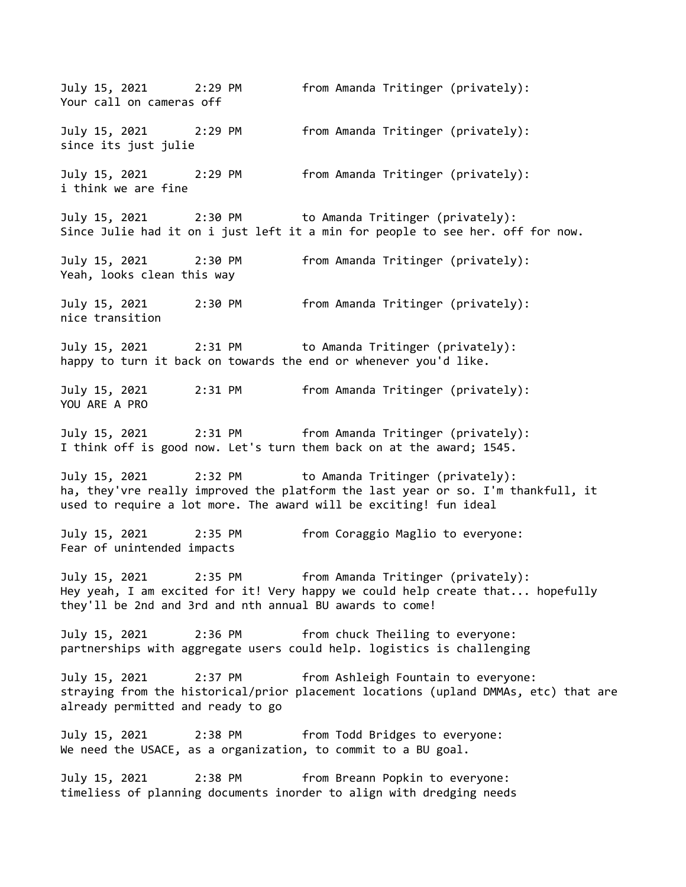July 15, 2021 2:29 PM from Amanda Tritinger (privately): Your call on cameras off July 15, 2021 2:29 PM from Amanda Tritinger (privately): since its just julie July 15, 2021 2:29 PM from Amanda Tritinger (privately): i think we are fine July 15, 2021 2:30 PM to Amanda Tritinger (privately): Since Julie had it on i just left it a min for people to see her. off for now. July 15, 2021 2:30 PM from Amanda Tritinger (privately): Yeah, looks clean this way July 15, 2021 2:30 PM from Amanda Tritinger (privately): nice transition July 15, 2021 2:31 PM to Amanda Tritinger (privately): happy to turn it back on towards the end or whenever you'd like. July 15, 2021 2:31 PM from Amanda Tritinger (privately): YOU ARE A PRO July 15, 2021 2:31 PM from Amanda Tritinger (privately): I think off is good now. Let's turn them back on at the award; 1545. July 15, 2021 2:32 PM to Amanda Tritinger (privately): ha, they'vre really improved the platform the last year or so. I'm thankfull, it used to require a lot more. The award will be exciting! fun ideal July 15, 2021 2:35 PM from Coraggio Maglio to everyone: Fear of unintended impacts July 15, 2021 2:35 PM from Amanda Tritinger (privately): Hey yeah, I am excited for it! Very happy we could help create that... hopefully they'll be 2nd and 3rd and nth annual BU awards to come! July 15, 2021 2:36 PM from chuck Theiling to everyone: partnerships with aggregate users could help. logistics is challenging July 15, 2021 2:37 PM from Ashleigh Fountain to everyone: straying from the historical/prior placement locations (upland DMMAs, etc) that are already permitted and ready to go July 15, 2021 2:38 PM from Todd Bridges to everyone: We need the USACE, as a organization, to commit to a BU goal. July 15, 2021 2:38 PM from Breann Popkin to everyone: timeliess of planning documents inorder to align with dredging needs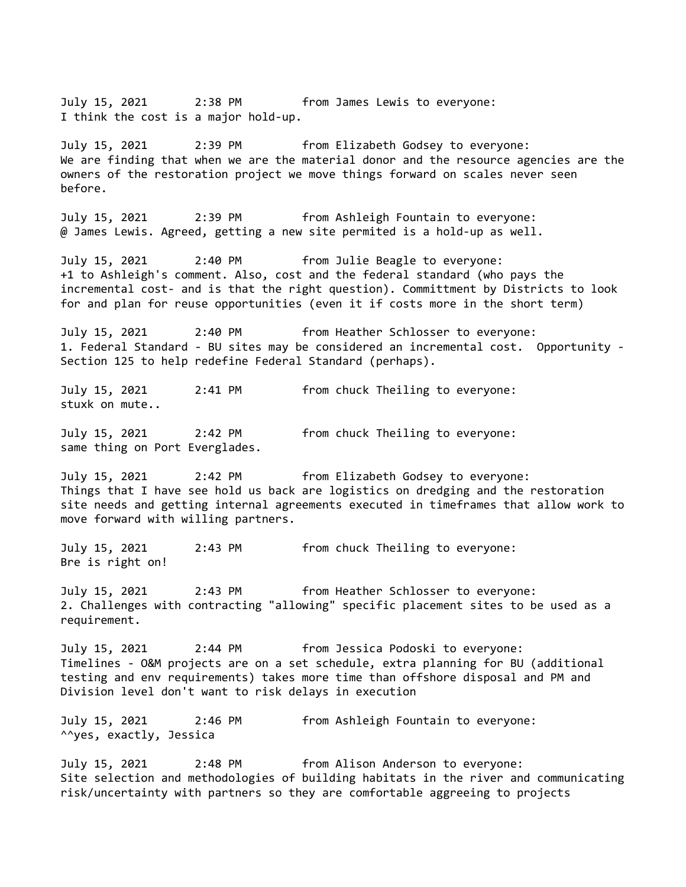July 15, 2021 2:38 PM from James Lewis to everyone: I think the cost is a major hold-up. July 15, 2021 2:39 PM from Elizabeth Godsey to everyone: We are finding that when we are the material donor and the resource agencies are the owners of the restoration project we move things forward on scales never seen before. July 15, 2021 2:39 PM from Ashleigh Fountain to everyone: @ James Lewis. Agreed, getting a new site permited is a hold-up as well. July 15, 2021 2:40 PM from Julie Beagle to everyone: +1 to Ashleigh's comment. Also, cost and the federal standard (who pays the incremental cost- and is that the right question). Committment by Districts to look for and plan for reuse opportunities (even it if costs more in the short term) July 15, 2021 2:40 PM from Heather Schlosser to everyone: 1. Federal Standard - BU sites may be considered an incremental cost. Opportunity - Section 125 to help redefine Federal Standard (perhaps). July 15, 2021 2:41 PM from chuck Theiling to everyone: stuxk on mute.. July 15, 2021 2:42 PM from chuck Theiling to everyone: same thing on Port Everglades. July 15, 2021 2:42 PM from Elizabeth Godsey to everyone: Things that I have see hold us back are logistics on dredging and the restoration site needs and getting internal agreements executed in timeframes that allow work to move forward with willing partners. July 15, 2021 2:43 PM from chuck Theiling to everyone: Bre is right on! July 15, 2021 2:43 PM from Heather Schlosser to everyone: 2. Challenges with contracting "allowing" specific placement sites to be used as a requirement. July 15, 2021 2:44 PM from Jessica Podoski to everyone: Timelines - O&M projects are on a set schedule, extra planning for BU (additional testing and env requirements) takes more time than offshore disposal and PM and Division level don't want to risk delays in execution July 15, 2021 2:46 PM from Ashleigh Fountain to everyone: ^^yes, exactly, Jessica July 15, 2021 2:48 PM from Alison Anderson to everyone: Site selection and methodologies of building habitats in the river and communicating risk/uncertainty with partners so they are comfortable aggreeing to projects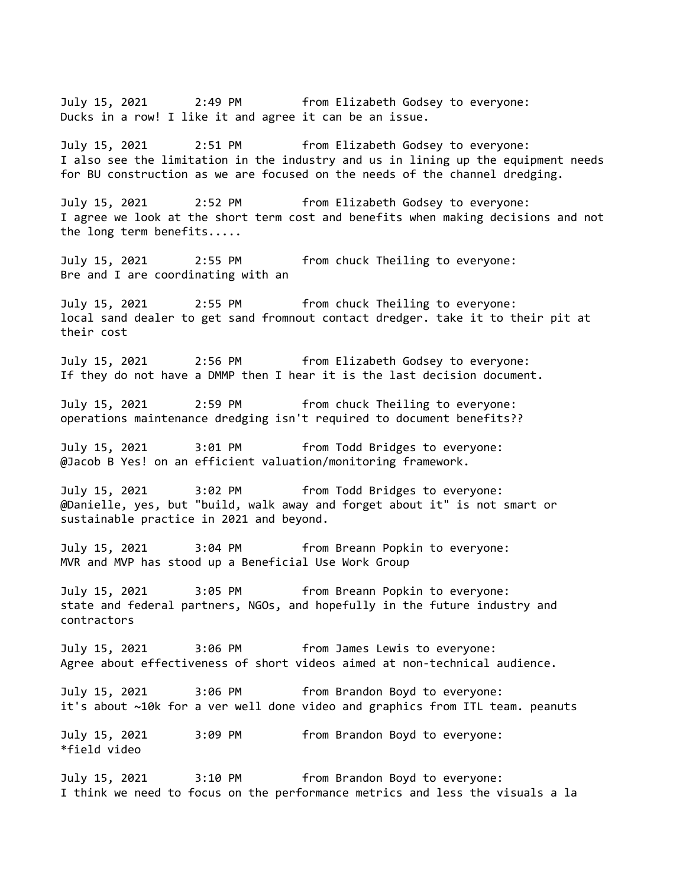July 15, 2021 2:49 PM from Elizabeth Godsey to everyone: Ducks in a row! I like it and agree it can be an issue. July 15, 2021 2:51 PM from Elizabeth Godsey to everyone: I also see the limitation in the industry and us in lining up the equipment needs for BU construction as we are focused on the needs of the channel dredging. July 15, 2021 2:52 PM from Elizabeth Godsey to everyone: I agree we look at the short term cost and benefits when making decisions and not the long term benefits..... July 15, 2021 2:55 PM from chuck Theiling to everyone: Bre and I are coordinating with an July 15, 2021 2:55 PM from chuck Theiling to everyone: local sand dealer to get sand fromnout contact dredger. take it to their pit at their cost July 15, 2021 2:56 PM from Elizabeth Godsey to everyone: If they do not have a DMMP then I hear it is the last decision document. July 15, 2021 2:59 PM from chuck Theiling to everyone: operations maintenance dredging isn't required to document benefits?? July 15, 2021 3:01 PM from Todd Bridges to everyone: @Jacob B Yes! on an efficient valuation/monitoring framework. July 15, 2021 3:02 PM from Todd Bridges to everyone: @Danielle, yes, but "build, walk away and forget about it" is not smart or sustainable practice in 2021 and beyond. July 15, 2021 3:04 PM from Breann Popkin to everyone: MVR and MVP has stood up a Beneficial Use Work Group July 15, 2021 3:05 PM from Breann Popkin to everyone: state and federal partners, NGOs, and hopefully in the future industry and contractors July 15, 2021 3:06 PM from James Lewis to everyone: Agree about effectiveness of short videos aimed at non-technical audience. July 15, 2021 3:06 PM from Brandon Boyd to everyone: it's about ~10k for a ver well done video and graphics from ITL team. peanuts July 15, 2021 3:09 PM from Brandon Boyd to everyone: \*field video July 15, 2021 3:10 PM from Brandon Boyd to everyone: I think we need to focus on the performance metrics and less the visuals a la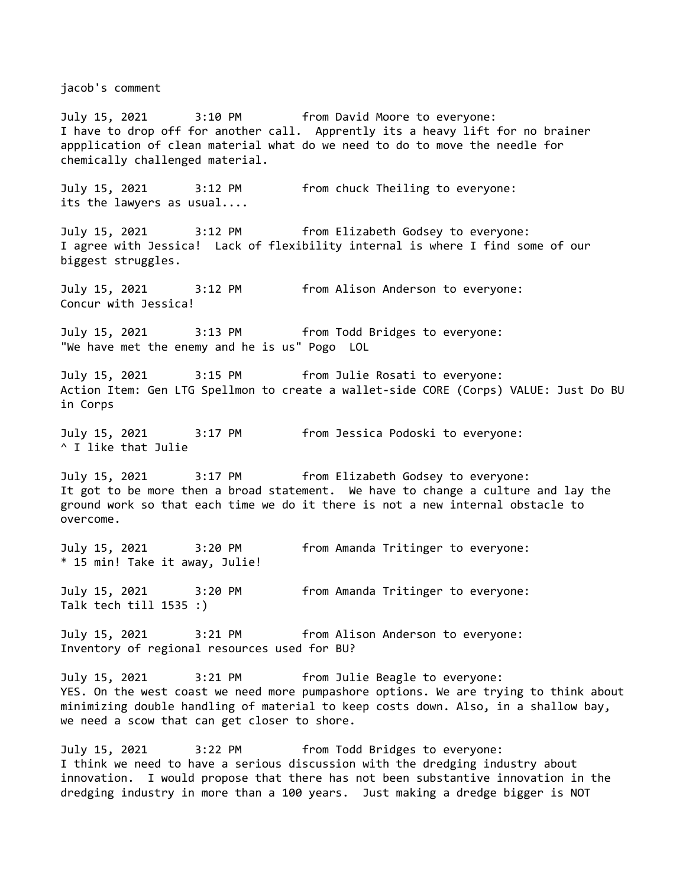jacob's comment

July 15, 2021 3:10 PM from David Moore to everyone: I have to drop off for another call. Apprently its a heavy lift for no brainer appplication of clean material what do we need to do to move the needle for chemically challenged material. July 15, 2021 3:12 PM from chuck Theiling to everyone: its the lawyers as usual.... July 15, 2021 3:12 PM from Elizabeth Godsey to everyone: I agree with Jessica! Lack of flexibility internal is where I find some of our biggest struggles. July 15, 2021 3:12 PM from Alison Anderson to everyone: Concur with Jessica! July 15, 2021 3:13 PM from Todd Bridges to everyone: "We have met the enemy and he is us" Pogo LOL July 15, 2021 3:15 PM from Julie Rosati to everyone: Action Item: Gen LTG Spellmon to create a wallet-side CORE (Corps) VALUE: Just Do BU in Corps July 15, 2021 3:17 PM from Jessica Podoski to everyone: ^ I like that Julie July 15, 2021 3:17 PM from Elizabeth Godsey to everyone: It got to be more then a broad statement. We have to change a culture and lay the ground work so that each time we do it there is not a new internal obstacle to overcome. July 15, 2021 3:20 PM from Amanda Tritinger to everyone: \* 15 min! Take it away, Julie! July 15, 2021 3:20 PM from Amanda Tritinger to everyone: Talk tech till 1535 :) July 15, 2021 3:21 PM from Alison Anderson to everyone: Inventory of regional resources used for BU? July 15, 2021 3:21 PM from Julie Beagle to everyone: YES. On the west coast we need more pumpashore options. We are trying to think about minimizing double handling of material to keep costs down. Also, in a shallow bay, we need a scow that can get closer to shore. July 15, 2021 3:22 PM from Todd Bridges to everyone: I think we need to have a serious discussion with the dredging industry about innovation. I would propose that there has not been substantive innovation in the dredging industry in more than a 100 years. Just making a dredge bigger is NOT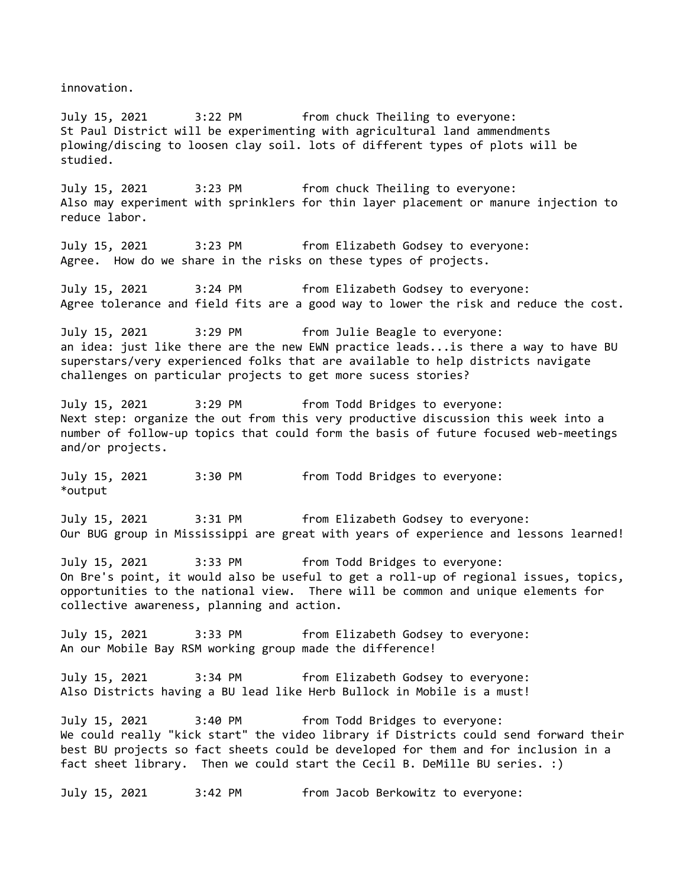innovation.

July 15, 2021 3:22 PM from chuck Theiling to everyone: St Paul District will be experimenting with agricultural land ammendments plowing/discing to loosen clay soil. lots of different types of plots will be studied.

July 15, 2021 3:23 PM from chuck Theiling to everyone: Also may experiment with sprinklers for thin layer placement or manure injection to reduce labor.

July 15, 2021 3:23 PM from Elizabeth Godsey to everyone: Agree. How do we share in the risks on these types of projects.

July 15, 2021 3:24 PM from Elizabeth Godsey to everyone: Agree tolerance and field fits are a good way to lower the risk and reduce the cost.

July 15, 2021 3:29 PM from Julie Beagle to everyone: an idea: just like there are the new EWN practice leads...is there a way to have BU superstars/very experienced folks that are available to help districts navigate challenges on particular projects to get more sucess stories?

July 15, 2021 3:29 PM from Todd Bridges to everyone: Next step: organize the out from this very productive discussion this week into a number of follow-up topics that could form the basis of future focused web-meetings and/or projects.

July 15, 2021 3:30 PM from Todd Bridges to everyone: \*output

July 15, 2021 3:31 PM from Elizabeth Godsey to everyone: Our BUG group in Mississippi are great with years of experience and lessons learned!

July 15, 2021 3:33 PM from Todd Bridges to everyone: On Bre's point, it would also be useful to get a roll-up of regional issues, topics, opportunities to the national view. There will be common and unique elements for collective awareness, planning and action.

July 15, 2021 3:33 PM from Elizabeth Godsey to everyone: An our Mobile Bay RSM working group made the difference!

July 15, 2021 3:34 PM from Elizabeth Godsey to everyone: Also Districts having a BU lead like Herb Bullock in Mobile is a must!

July 15, 2021 3:40 PM from Todd Bridges to everyone: We could really "kick start" the video library if Districts could send forward their best BU projects so fact sheets could be developed for them and for inclusion in a fact sheet library. Then we could start the Cecil B. DeMille BU series. :)

July 15, 2021 3:42 PM from Jacob Berkowitz to everyone: